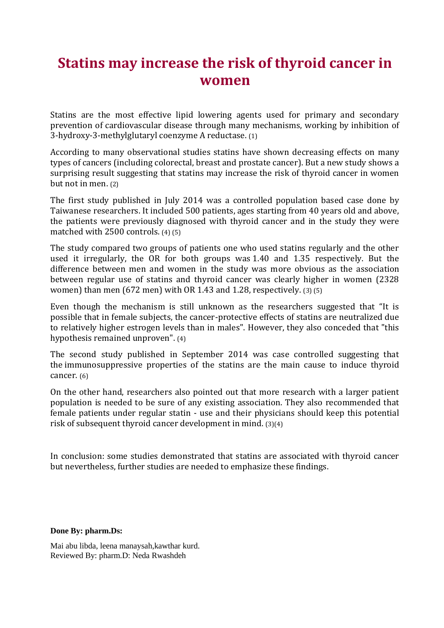## **Statins may increase the risk of thyroid cancer in women**

Statins are the most effective lipid lowering agents used for primary and secondary prevention of cardiovascular disease through many mechanisms, working by inhibition of 3-hydroxy-3-methylglutaryl coenzyme A reductase. (1)

According to many observational studies statins have shown decreasing effects on many types of cancers (including colorectal, breast and prostate cancer). But a new study shows a surprising result suggesting that statins may increase the risk of thyroid cancer in women but not in men. (2)

The first study published in July 2014 was a controlled population based case done by Taiwanese researchers. It included 500 patients, ages starting from 40 years old and above, the patients were previously diagnosed with thyroid cancer and in the study they were matched with 2500 controls. (4) (5)

The study compared two groups of patients one who used statins regularly and the other used it irregularly, the OR for both groups was 1.40 and 1.35 respectively. But the difference between men and women in the study was more obvious as the association between regular use of statins and thyroid cancer was clearly higher in women (2328 women) than men (672 men) with OR 1.43 and 1.28, respectively. (3) (5)

Even though the mechanism is still unknown as the researchers suggested that "It is possible that in female subjects, the cancer-protective effects of statins are neutralized due to relatively higher estrogen levels than in males". However, they also conceded that "this hypothesis remained unproven". (4)

The second study published in September 2014 was case controlled suggesting that the immunosuppressive properties of the statins are the main cause to induce thyroid cancer. (6)

On the other hand, researchers also pointed out that more research with a larger patient population is needed to be sure of any existing association. They also recommended that female patients under regular statin - use and their physicians should keep this potential risk of subsequent thyroid cancer development in mind. (3)(4)

In conclusion: some studies demonstrated that statins are associated with thyroid cancer but nevertheless, further studies are needed to emphasize these findings.

**Done By: pharm.Ds:**

Mai abu libda, leena manaysah,kawthar kurd. Reviewed By: pharm.D: Neda Rwashdeh